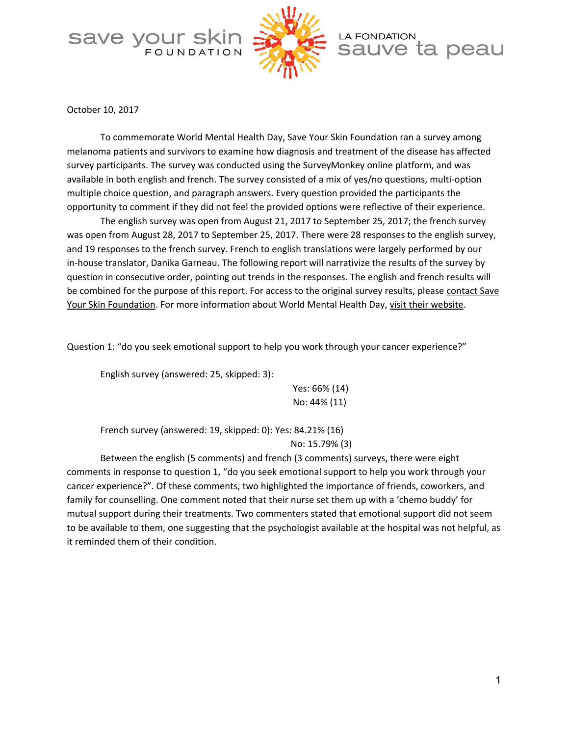



October 10, 2017

To commemorate World Mental Health Day, Save Your Skin Foundation ran a survey among melanoma patients and survivors to examine how diagnosis and treatment of the disease has affected survey participants. The survey was conducted using the SurveyMonkey online platform, and was available in both english and french. The survey consisted of a mix of yes/no questions, multi-option multiple choice question, and paragraph answers. Every question provided the participants the opportunity to comment if they did not feel the provided options were reflective of their experience.

The english survey was open from August 21, 2017 to September 25, 2017; the french survey was open from August 28, 2017 to September 25, 2017. There were 28 responses to the english survey, and 19 responses to the french survey. French to english translations were largely performed by our in-house translator, Danika Garneau. The following report will narrativize the results of the survey by question in consecutive order, pointing out trends in the responses. The english and french results will be combined for the purpose of this report. For access to the original survey results, please [contact](mailto:taylorkathleen@saveyourskin.ca) Save Your Skin [Foundation](mailto:taylorkathleen@saveyourskin.ca). For more information about World Mental Health Day, visit their [website.](http://www.who.int/mental_health/world-mental-health-day/en/)

Question 1: "do you seek emotional support to help you work through your cancer experience?"

English survey (answered: 25, skipped: 3):

Yes: 66% (14) No: 44% (11)

French survey (answered: 19, skipped: 0): Yes: 84.21% (16)

No: 15.79% (3)

Between the english (5 comments) and french (3 comments) surveys, there were eight comments in response to question 1, "do you seek emotional support to help you work through your cancer experience?". Of these comments, two highlighted the importance of friends, coworkers, and family for counselling. One comment noted that their nurse set them up with a 'chemo buddy' for mutual support during their treatments. Two commenters stated that emotional support did not seem to be available to them, one suggesting that the psychologist available at the hospital was not helpful, as it reminded them of their condition.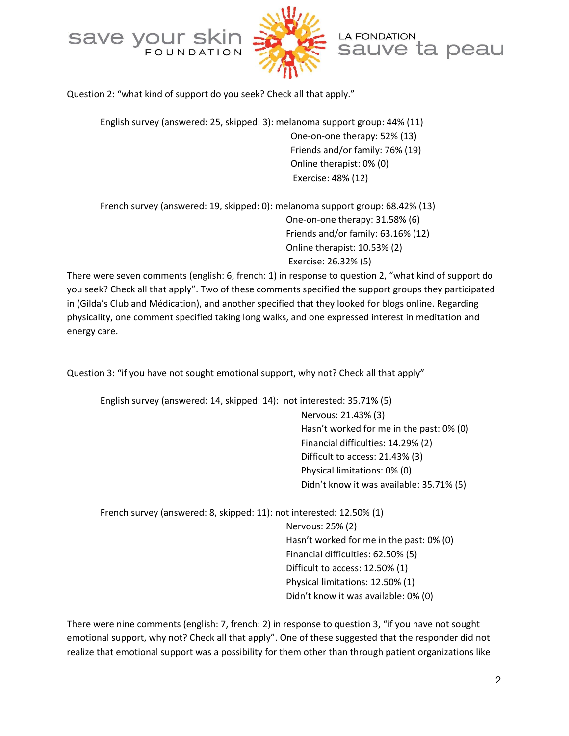





Question 2: "what kind of support do you seek? Check all that apply."

English survey (answered: 25, skipped: 3): melanoma support group: 44% (11) One-on-one therapy: 52% (13) Friends and/or family: 76% (19) Online therapist: 0% (0) Exercise: 48% (12)

French survey (answered: 19, skipped: 0): melanoma support group: 68.42% (13) One-on-one therapy: 31.58% (6) Friends and/or family: 63.16% (12) Online therapist: 10.53% (2) Exercise: 26.32% (5)

There were seven comments (english: 6, french: 1) in response to question 2, "what kind of support do you seek? Check all that apply". Two of these comments specified the support groups they participated in (Gilda's Club and Médication), and another specified that they looked for blogs online. Regarding physicality, one comment specified taking long walks, and one expressed interest in meditation and energy care.

Question 3: "if you have not sought emotional support, why not? Check all that apply"

English survey (answered: 14, skipped: 14): not interested: 35.71% (5)

Nervous: 21.43% (3) Hasn't worked for me in the past: 0% (0) Financial difficulties: 14.29% (2) Difficult to access: 21.43% (3) Physical limitations: 0% (0) Didn't know it was available: 35.71% (5)

French survey (answered: 8, skipped: 11): not interested: 12.50% (1)

Nervous: 25% (2) Hasn't worked for me in the past: 0% (0) Financial difficulties: 62.50% (5) Difficult to access: 12.50% (1) Physical limitations: 12.50% (1) Didn't know it was available: 0% (0)

There were nine comments (english: 7, french: 2) in response to question 3, "if you have not sought emotional support, why not? Check all that apply". One of these suggested that the responder did not realize that emotional support was a possibility for them other than through patient organizations like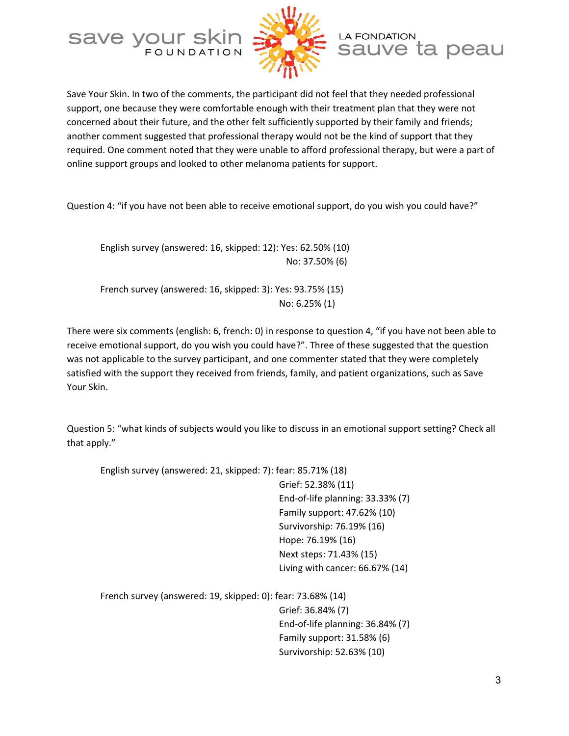





Save Your Skin. In two of the comments, the participant did not feel that they needed professional support, one because they were comfortable enough with their treatment plan that they were not concerned about their future, and the other felt sufficiently supported by their family and friends; another comment suggested that professional therapy would not be the kind of support that they required. One comment noted that they were unable to afford professional therapy, but were a part of online support groups and looked to other melanoma patients for support.

Question 4: "if you have not been able to receive emotional support, do you wish you could have?"

English survey (answered: 16, skipped: 12): Yes: 62.50% (10) No: 37.50% (6)

French survey (answered: 16, skipped: 3): Yes: 93.75% (15) No: 6.25% (1)

There were six comments (english: 6, french: 0) in response to question 4, "if you have not been able to receive emotional support, do you wish you could have?". Three of these suggested that the question was not applicable to the survey participant, and one commenter stated that they were completely satisfied with the support they received from friends, family, and patient organizations, such as Save Your Skin.

Question 5: "what kinds of subjects would you like to discuss in an emotional support setting? Check all that apply."

English survey (answered: 21, skipped: 7): fear: 85.71% (18) Grief: 52.38% (11) End-of-life planning: 33.33% (7) Family support: 47.62% (10) Survivorship: 76.19% (16) Hope: 76.19% (16) Next steps: 71.43% (15) Living with cancer: 66.67% (14) French survey (answered: 19, skipped: 0): fear: 73.68% (14) Grief: 36.84% (7) End-of-life planning: 36.84% (7) Family support: 31.58% (6)

Survivorship: 52.63% (10)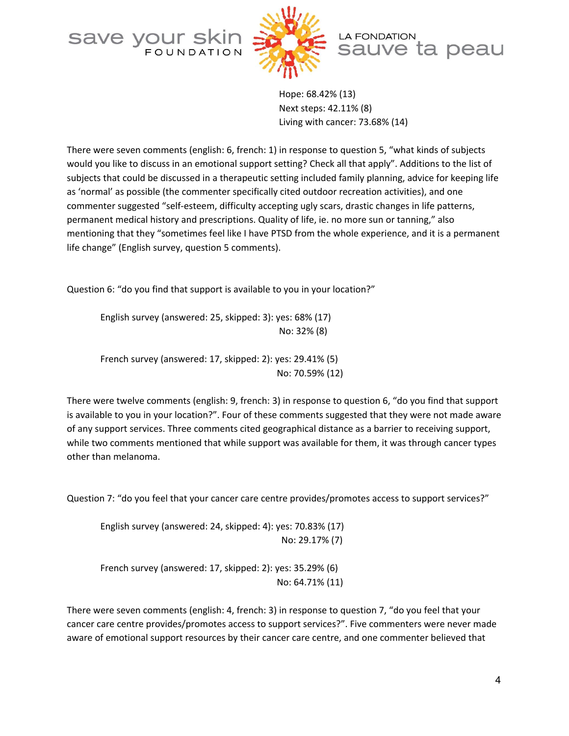



Hope: 68.42% (13) Next steps: 42.11% (8) Living with cancer: 73.68% (14)

There were seven comments (english: 6, french: 1) in response to question 5, "what kinds of subjects would you like to discuss in an emotional support setting? Check all that apply". Additions to the list of subjects that could be discussed in a therapeutic setting included family planning, advice for keeping life as 'normal' as possible (the commenter specifically cited outdoor recreation activities), and one commenter suggested "self-esteem, difficulty accepting ugly scars, drastic changes in life patterns, permanent medical history and prescriptions. Quality of life, ie. no more sun or tanning," also mentioning that they "sometimes feel like I have PTSD from the whole experience, and it is a permanent life change" (English survey, question 5 comments).

Question 6: "do you find that support is available to you in your location?"

English survey (answered: 25, skipped: 3): yes: 68% (17) No: 32% (8)

French survey (answered: 17, skipped: 2): yes: 29.41% (5) No: 70.59% (12)

There were twelve comments (english: 9, french: 3) in response to question 6, "do you find that support is available to you in your location?". Four of these comments suggested that they were not made aware of any support services. Three comments cited geographical distance as a barrier to receiving support, while two comments mentioned that while support was available for them, it was through cancer types other than melanoma.

Question 7: "do you feel that your cancer care centre provides/promotes access to support services?"

English survey (answered: 24, skipped: 4): yes: 70.83% (17) No: 29.17% (7)

French survey (answered: 17, skipped: 2): yes: 35.29% (6) No: 64.71% (11)

There were seven comments (english: 4, french: 3) in response to question 7, "do you feel that your cancer care centre provides/promotes access to support services?". Five commenters were never made aware of emotional support resources by their cancer care centre, and one commenter believed that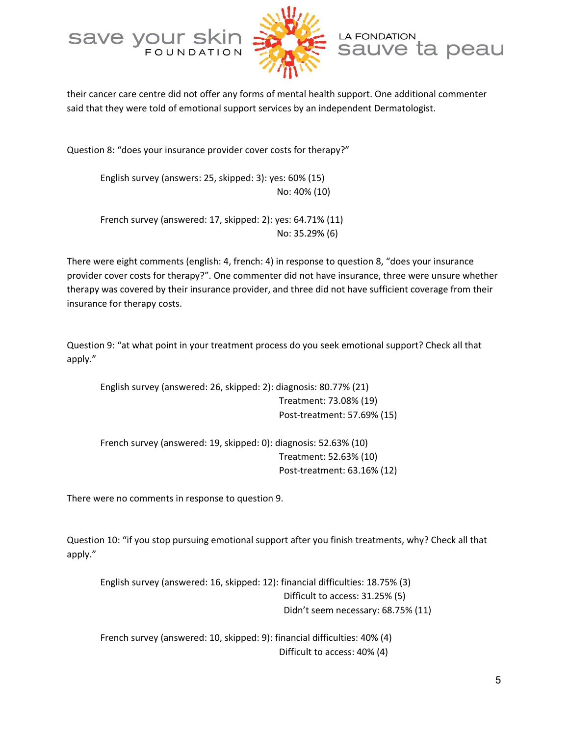





their cancer care centre did not offer any forms of mental health support. One additional commenter said that they were told of emotional support services by an independent Dermatologist.

Question 8: "does your insurance provider cover costs for therapy?"

English survey (answers: 25, skipped: 3): yes: 60% (15) No: 40% (10)

French survey (answered: 17, skipped: 2): yes: 64.71% (11) No: 35.29% (6)

There were eight comments (english: 4, french: 4) in response to question 8, "does your insurance provider cover costs for therapy?". One commenter did not have insurance, three were unsure whether therapy was covered by their insurance provider, and three did not have sufficient coverage from their insurance for therapy costs.

Question 9: "at what point in your treatment process do you seek emotional support? Check all that apply."

English survey (answered: 26, skipped: 2): diagnosis: 80.77% (21) Treatment: 73.08% (19) Post-treatment: 57.69% (15)

French survey (answered: 19, skipped: 0): diagnosis: 52.63% (10) Treatment: 52.63% (10) Post-treatment: 63.16% (12)

There were no comments in response to question 9.

Question 10: "if you stop pursuing emotional support after you finish treatments, why? Check all that apply."

English survey (answered: 16, skipped: 12): financial difficulties: 18.75% (3) Difficult to access: 31.25% (5) Didn't seem necessary: 68.75% (11)

French survey (answered: 10, skipped: 9): financial difficulties: 40% (4) Difficult to access: 40% (4)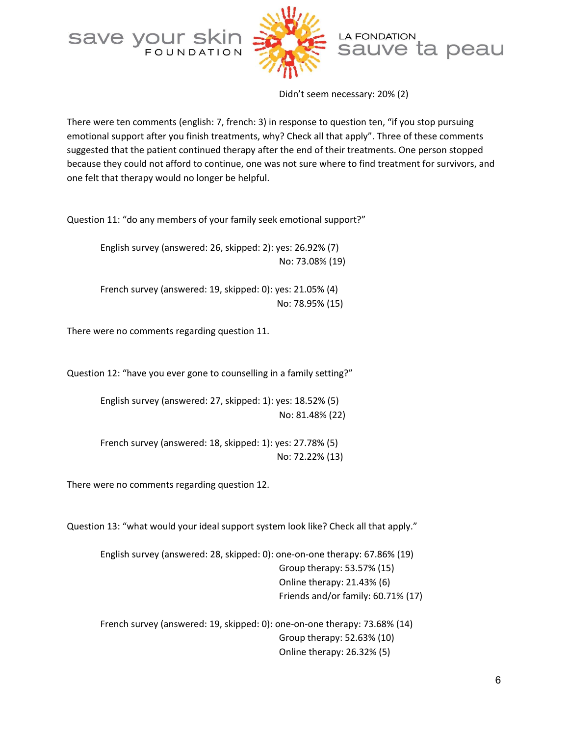

Didn't seem necessary: 20% (2)

There were ten comments (english: 7, french: 3) in response to question ten, "if you stop pursuing emotional support after you finish treatments, why? Check all that apply". Three of these comments suggested that the patient continued therapy after the end of their treatments. One person stopped because they could not afford to continue, one was not sure where to find treatment for survivors, and one felt that therapy would no longer be helpful.

Question 11: "do any members of your family seek emotional support?"

English survey (answered: 26, skipped: 2): yes: 26.92% (7) No: 73.08% (19)

French survey (answered: 19, skipped: 0): yes: 21.05% (4) No: 78.95% (15)

There were no comments regarding question 11.

Question 12: "have you ever gone to counselling in a family setting?"

English survey (answered: 27, skipped: 1): yes: 18.52% (5) No: 81.48% (22)

French survey (answered: 18, skipped: 1): yes: 27.78% (5) No: 72.22% (13)

There were no comments regarding question 12.

Question 13: "what would your ideal support system look like? Check all that apply."

English survey (answered: 28, skipped: 0): one-on-one therapy: 67.86% (19) Group therapy: 53.57% (15) Online therapy: 21.43% (6) Friends and/or family: 60.71% (17)

French survey (answered: 19, skipped: 0): one-on-one therapy: 73.68% (14) Group therapy: 52.63% (10) Online therapy: 26.32% (5)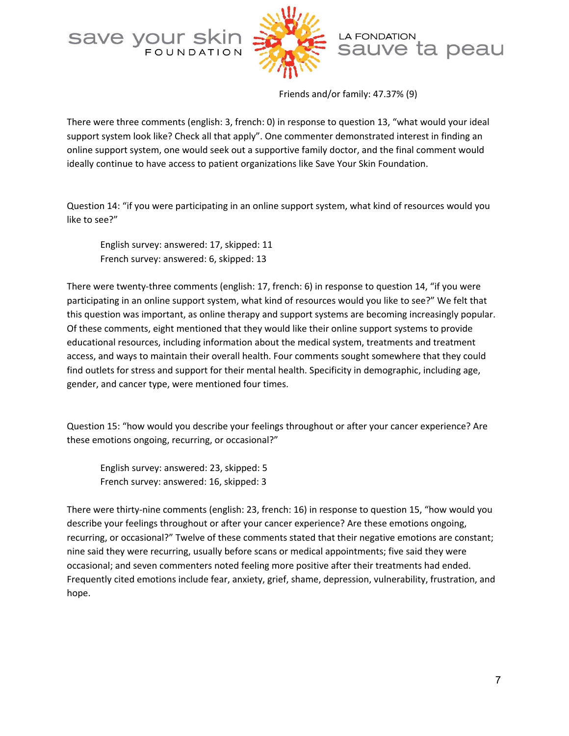

Friends and/or family: 47.37% (9)

There were three comments (english: 3, french: 0) in response to question 13, "what would your ideal support system look like? Check all that apply". One commenter demonstrated interest in finding an online support system, one would seek out a supportive family doctor, and the final comment would ideally continue to have access to patient organizations like Save Your Skin Foundation.

Question 14: "if you were participating in an online support system, what kind of resources would you like to see?"

English survey: answered: 17, skipped: 11 French survey: answered: 6, skipped: 13

There were twenty-three comments (english: 17, french: 6) in response to question 14, "if you were participating in an online support system, what kind of resources would you like to see?" We felt that this question was important, as online therapy and support systems are becoming increasingly popular. Of these comments, eight mentioned that they would like their online support systems to provide educational resources, including information about the medical system, treatments and treatment access, and ways to maintain their overall health. Four comments sought somewhere that they could find outlets for stress and support for their mental health. Specificity in demographic, including age, gender, and cancer type, were mentioned four times.

Question 15: "how would you describe your feelings throughout or after your cancer experience? Are these emotions ongoing, recurring, or occasional?"

English survey: answered: 23, skipped: 5 French survey: answered: 16, skipped: 3

There were thirty-nine comments (english: 23, french: 16) in response to question 15, "how would you describe your feelings throughout or after your cancer experience? Are these emotions ongoing, recurring, or occasional?" Twelve of these comments stated that their negative emotions are constant; nine said they were recurring, usually before scans or medical appointments; five said they were occasional; and seven commenters noted feeling more positive after their treatments had ended. Frequently cited emotions include fear, anxiety, grief, shame, depression, vulnerability, frustration, and hope.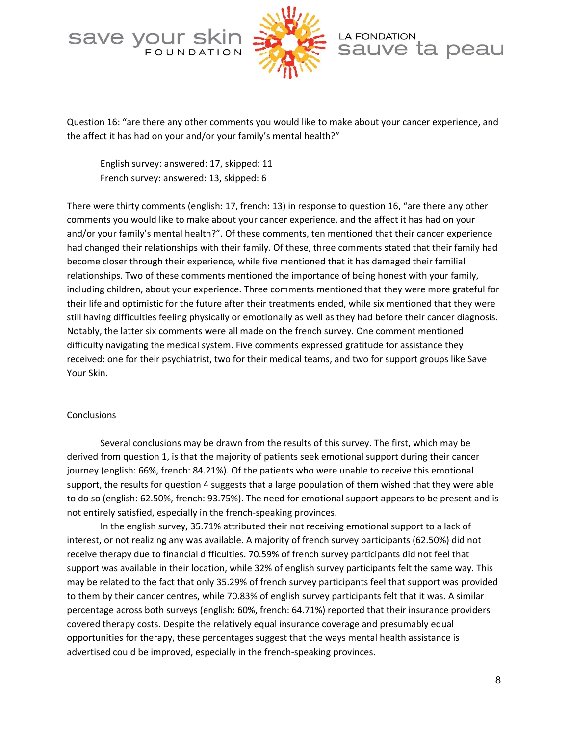



Question 16: "are there any other comments you would like to make about your cancer experience, and the affect it has had on your and/or your family's mental health?"

English survey: answered: 17, skipped: 11 French survey: answered: 13, skipped: 6

There were thirty comments (english: 17, french: 13) in response to question 16, "are there any other comments you would like to make about your cancer experience, and the affect it has had on your and/or your family's mental health?". Of these comments, ten mentioned that their cancer experience had changed their relationships with their family. Of these, three comments stated that their family had become closer through their experience, while five mentioned that it has damaged their familial relationships. Two of these comments mentioned the importance of being honest with your family, including children, about your experience. Three comments mentioned that they were more grateful for their life and optimistic for the future after their treatments ended, while six mentioned that they were still having difficulties feeling physically or emotionally as well as they had before their cancer diagnosis. Notably, the latter six comments were all made on the french survey. One comment mentioned difficulty navigating the medical system. Five comments expressed gratitude for assistance they received: one for their psychiatrist, two for their medical teams, and two for support groups like Save Your Skin.

#### **Conclusions**

Several conclusions may be drawn from the results of this survey. The first, which may be derived from question 1, is that the majority of patients seek emotional support during their cancer journey (english: 66%, french: 84.21%). Of the patients who were unable to receive this emotional support, the results for question 4 suggests that a large population of them wished that they were able to do so (english: 62.50%, french: 93.75%). The need for emotional support appears to be present and is not entirely satisfied, especially in the french-speaking provinces.

In the english survey, 35.71% attributed their not receiving emotional support to a lack of interest, or not realizing any was available. A majority of french survey participants (62.50%) did not receive therapy due to financial difficulties. 70.59% of french survey participants did not feel that support was available in their location, while 32% of english survey participants felt the same way. This may be related to the fact that only 35.29% of french survey participants feel that support was provided to them by their cancer centres, while 70.83% of english survey participants felt that it was. A similar percentage across both surveys (english: 60%, french: 64.71%) reported that their insurance providers covered therapy costs. Despite the relatively equal insurance coverage and presumably equal opportunities for therapy, these percentages suggest that the ways mental health assistance is advertised could be improved, especially in the french-speaking provinces.